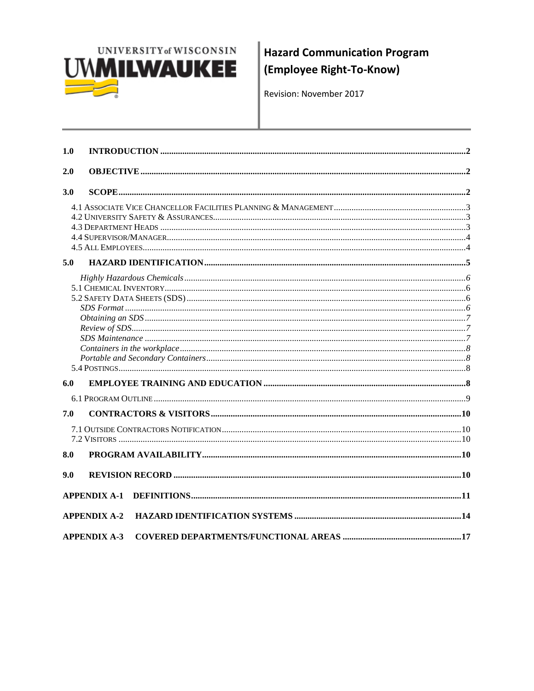

**Hazard Communication Program** (Employee Right-To-Know)

Revision: November 2017

| 1.0 |                     |  |
|-----|---------------------|--|
| 2.0 |                     |  |
| 3.0 |                     |  |
|     |                     |  |
|     |                     |  |
| 5.0 |                     |  |
|     |                     |  |
|     |                     |  |
|     |                     |  |
|     |                     |  |
|     |                     |  |
|     |                     |  |
|     |                     |  |
|     |                     |  |
|     |                     |  |
| 6.0 |                     |  |
|     |                     |  |
| 7.0 |                     |  |
|     |                     |  |
| 8.0 |                     |  |
| 9.0 |                     |  |
|     | <b>APPENDIX A-1</b> |  |
|     | <b>APPENDIX A-2</b> |  |
|     | <b>APPENDIX A-3</b> |  |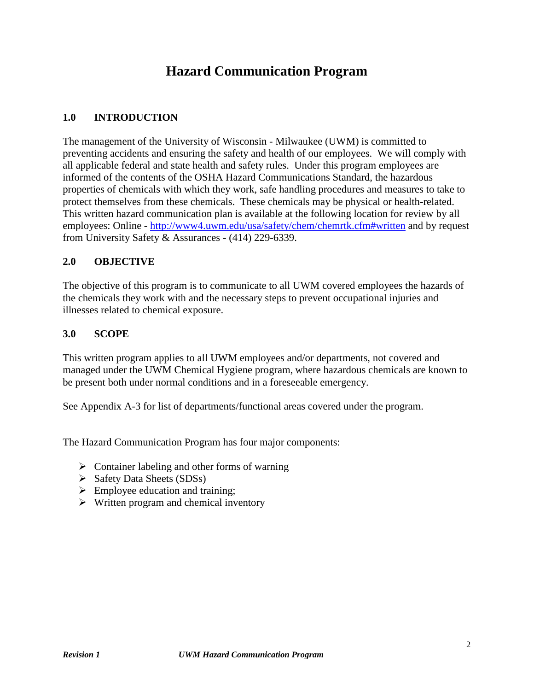# **Hazard Communication Program**

### **1.0 INTRODUCTION**

The management of the University of Wisconsin - Milwaukee (UWM) is committed to preventing accidents and ensuring the safety and health of our employees. We will comply with all applicable federal and state health and safety rules. Under this program employees are informed of the contents of the OSHA Hazard Communications Standard, the hazardous properties of chemicals with which they work, safe handling procedures and measures to take to protect themselves from these chemicals. These chemicals may be physical or health-related. This written hazard communication plan is available at the following location for review by all employees: Online - [http://www4.uwm.edu/usa/safety/chem/chemrtk.cfm#written](http://www4.uwm.edu/usa/safety/chem/chemrtk.cfm%23written) and by request from University Safety & Assurances - (414) 229-6339.

### **2.0 OBJECTIVE**

The objective of this program is to communicate to all UWM covered employees the hazards of the chemicals they work with and the necessary steps to prevent occupational injuries and illnesses related to chemical exposure.

#### **3.0 SCOPE**

This written program applies to all UWM employees and/or departments, not covered and managed under the UWM Chemical Hygiene program, where hazardous chemicals are known to be present both under normal conditions and in a foreseeable emergency.

See Appendix A-3 for list of departments/functional areas covered under the program.

The Hazard Communication Program has four major components:

- $\triangleright$  Container labeling and other forms of warning
- $\triangleright$  Safety Data Sheets (SDSs)
- $\triangleright$  Employee education and training:
- $\triangleright$  Written program and chemical inventory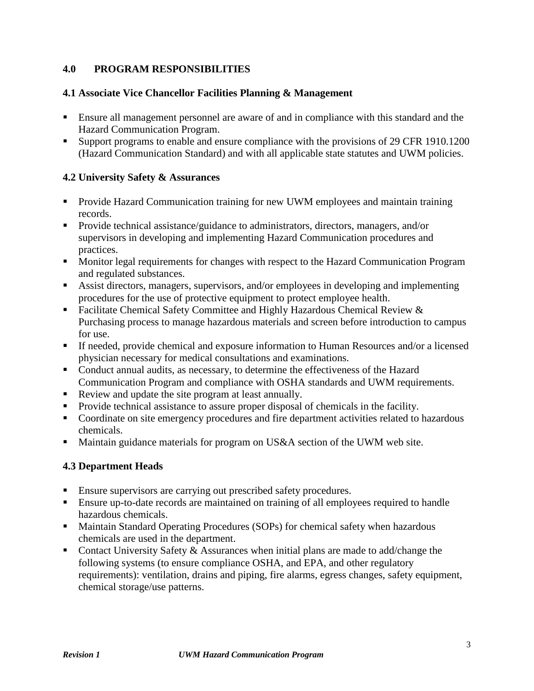### **4.0 PROGRAM RESPONSIBILITIES**

### **4.1 Associate Vice Chancellor Facilities Planning & Management**

- Ensure all management personnel are aware of and in compliance with this standard and the Hazard Communication Program.
- Support programs to enable and ensure compliance with the provisions of 29 CFR 1910.1200 (Hazard Communication Standard) and with all applicable state statutes and UWM policies.

### **4.2 University Safety & Assurances**

- **Provide Hazard Communication training for new UWM employees and maintain training** records.
- **Provide technical assistance/guidance to administrators, directors, managers, and/or** supervisors in developing and implementing Hazard Communication procedures and practices.
- Monitor legal requirements for changes with respect to the Hazard Communication Program and regulated substances.
- Assist directors, managers, supervisors, and/or employees in developing and implementing procedures for the use of protective equipment to protect employee health.
- Facilitate Chemical Safety Committee and Highly Hazardous Chemical Review & Purchasing process to manage hazardous materials and screen before introduction to campus for use.
- If needed, provide chemical and exposure information to Human Resources and/or a licensed physician necessary for medical consultations and examinations.
- Conduct annual audits, as necessary, to determine the effectiveness of the Hazard Communication Program and compliance with OSHA standards and UWM requirements.
- Review and update the site program at least annually.
- Provide technical assistance to assure proper disposal of chemicals in the facility.
- Coordinate on site emergency procedures and fire department activities related to hazardous chemicals.
- Maintain guidance materials for program on US&A section of the UWM web site.

### **4.3 Department Heads**

- Ensure supervisors are carrying out prescribed safety procedures.
- Ensure up-to-date records are maintained on training of all employees required to handle hazardous chemicals.
- **Maintain Standard Operating Procedures (SOPs) for chemical safety when hazardous** chemicals are used in the department.
- Contact University Safety & Assurances when initial plans are made to add/change the following systems (to ensure compliance OSHA, and EPA, and other regulatory requirements): ventilation, drains and piping, fire alarms, egress changes, safety equipment, chemical storage/use patterns.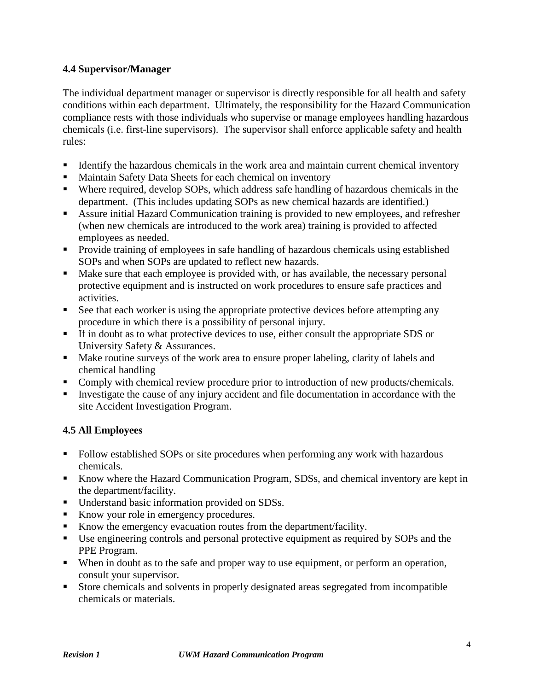### **4.4 Supervisor/Manager**

The individual department manager or supervisor is directly responsible for all health and safety conditions within each department. Ultimately, the responsibility for the Hazard Communication compliance rests with those individuals who supervise or manage employees handling hazardous chemicals (i.e. first-line supervisors). The supervisor shall enforce applicable safety and health rules:

- Identify the hazardous chemicals in the work area and maintain current chemical inventory
- Maintain Safety Data Sheets for each chemical on inventory
- Where required, develop SOPs, which address safe handling of hazardous chemicals in the department. (This includes updating SOPs as new chemical hazards are identified.)
- Assure initial Hazard Communication training is provided to new employees, and refresher (when new chemicals are introduced to the work area) training is provided to affected employees as needed.
- **Provide training of employees in safe handling of hazardous chemicals using established** SOPs and when SOPs are updated to reflect new hazards.
- Make sure that each employee is provided with, or has available, the necessary personal protective equipment and is instructed on work procedures to ensure safe practices and activities.
- See that each worker is using the appropriate protective devices before attempting any procedure in which there is a possibility of personal injury.
- If in doubt as to what protective devices to use, either consult the appropriate SDS or University Safety & Assurances.
- Make routine surveys of the work area to ensure proper labeling, clarity of labels and chemical handling
- Comply with chemical review procedure prior to introduction of new products/chemicals.
- Investigate the cause of any injury accident and file documentation in accordance with the site Accident Investigation Program.

### **4.5 All Employees**

- Follow established SOPs or site procedures when performing any work with hazardous chemicals.
- Know where the Hazard Communication Program, SDSs, and chemical inventory are kept in the department/facility.
- **Understand basic information provided on SDSs.**
- Know your role in emergency procedures.
- Know the emergency evacuation routes from the department/facility.
- Use engineering controls and personal protective equipment as required by SOPs and the PPE Program.
- When in doubt as to the safe and proper way to use equipment, or perform an operation, consult your supervisor.
- Store chemicals and solvents in properly designated areas segregated from incompatible chemicals or materials.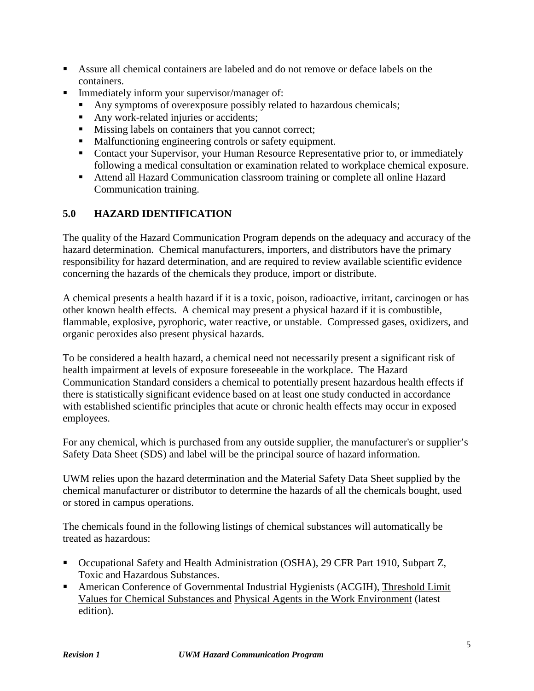- Assure all chemical containers are labeled and do not remove or deface labels on the containers.
- **Immediately inform your supervisor/manager of:** 
	- Any symptoms of overexposure possibly related to hazardous chemicals;
	- Any work-related injuries or accidents;
	- Missing labels on containers that you cannot correct;
	- Malfunctioning engineering controls or safety equipment.
	- Contact your Supervisor, your Human Resource Representative prior to, or immediately following a medical consultation or examination related to workplace chemical exposure.
	- Attend all Hazard Communication classroom training or complete all online Hazard Communication training.

# **5.0 HAZARD IDENTIFICATION**

The quality of the Hazard Communication Program depends on the adequacy and accuracy of the hazard determination. Chemical manufacturers, importers, and distributors have the primary responsibility for hazard determination, and are required to review available scientific evidence concerning the hazards of the chemicals they produce, import or distribute.

A chemical presents a health hazard if it is a toxic, poison, radioactive, irritant, carcinogen or has other known health effects. A chemical may present a physical hazard if it is combustible, flammable, explosive, pyrophoric, water reactive, or unstable. Compressed gases, oxidizers, and organic peroxides also present physical hazards.

To be considered a health hazard, a chemical need not necessarily present a significant risk of health impairment at levels of exposure foreseeable in the workplace. The Hazard Communication Standard considers a chemical to potentially present hazardous health effects if there is statistically significant evidence based on at least one study conducted in accordance with established scientific principles that acute or chronic health effects may occur in exposed employees.

For any chemical, which is purchased from any outside supplier, the manufacturer's or supplier's Safety Data Sheet (SDS) and label will be the principal source of hazard information.

UWM relies upon the hazard determination and the Material Safety Data Sheet supplied by the chemical manufacturer or distributor to determine the hazards of all the chemicals bought, used or stored in campus operations.

The chemicals found in the following listings of chemical substances will automatically be treated as hazardous:

- Occupational Safety and Health Administration (OSHA), 29 CFR Part 1910, Subpart Z, Toxic and Hazardous Substances.
- American Conference of Governmental Industrial Hygienists (ACGIH), Threshold Limit Values for Chemical Substances and Physical Agents in the Work Environment (latest edition).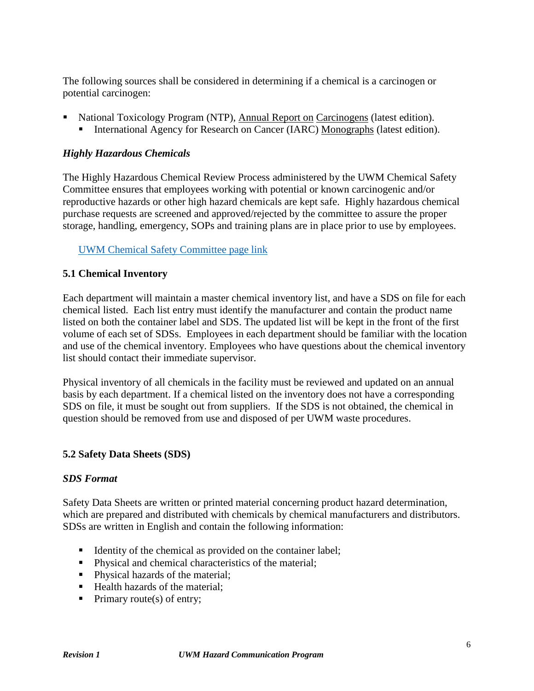The following sources shall be considered in determining if a chemical is a carcinogen or potential carcinogen:

- National Toxicology Program (NTP), Annual Report on Carcinogens (latest edition).
	- International Agency for Research on Cancer (IARC) Monographs (latest edition).

### *Highly Hazardous Chemicals*

The Highly Hazardous Chemical Review Process administered by the UWM Chemical Safety Committee ensures that employees working with potential or known carcinogenic and/or reproductive hazards or other high hazard chemicals are kept safe. Highly hazardous chemical purchase requests are screened and approved/rejected by the committee to assure the proper storage, handling, emergency, SOPs and training plans are in place prior to use by employees.

#### [UWM Chemical Safety Committee page link](http://uwm.edu/safety-health/chemical-safety-committee/)

#### **5.1 Chemical Inventory**

Each department will maintain a master chemical inventory list, and have a SDS on file for each chemical listed. Each list entry must identify the manufacturer and contain the product name listed on both the container label and SDS. The updated list will be kept in the front of the first volume of each set of SDSs. Employees in each department should be familiar with the location and use of the chemical inventory. Employees who have questions about the chemical inventory list should contact their immediate supervisor.

Physical inventory of all chemicals in the facility must be reviewed and updated on an annual basis by each department. If a chemical listed on the inventory does not have a corresponding SDS on file, it must be sought out from suppliers. If the SDS is not obtained, the chemical in question should be removed from use and disposed of per UWM waste procedures.

#### **5.2 Safety Data Sheets (SDS)**

#### *SDS Format*

Safety Data Sheets are written or printed material concerning product hazard determination, which are prepared and distributed with chemicals by chemical manufacturers and distributors. SDSs are written in English and contain the following information:

- Identity of the chemical as provided on the container label;
- **Physical and chemical characteristics of the material;**
- Physical hazards of the material;
- Health hazards of the material:
- $\blacksquare$  Primary route(s) of entry;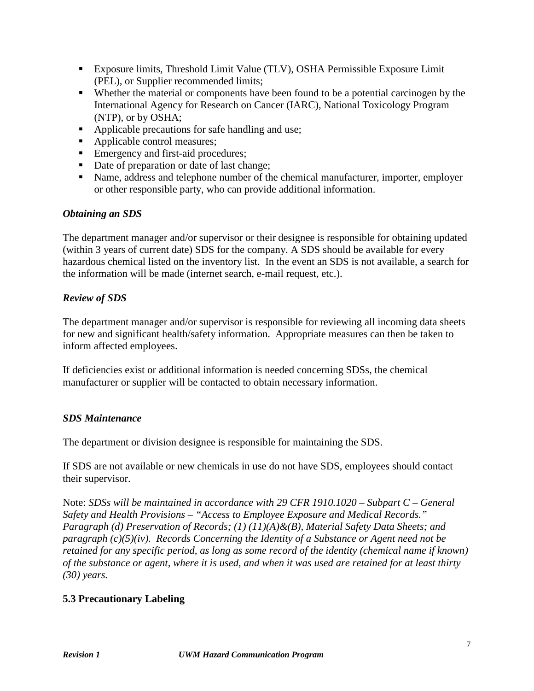- Exposure limits, Threshold Limit Value (TLV), OSHA Permissible Exposure Limit (PEL), or Supplier recommended limits;
- Whether the material or components have been found to be a potential carcinogen by the International Agency for Research on Cancer (IARC), National Toxicology Program (NTP), or by OSHA;
- Applicable precautions for safe handling and use;
- **Applicable control measures;**
- **Emergency and first-aid procedures;**
- Date of preparation or date of last change;
- Name, address and telephone number of the chemical manufacturer, importer, employer or other responsible party, who can provide additional information.

### *Obtaining an SDS*

The department manager and/or supervisor or their designee is responsible for obtaining updated (within 3 years of current date) SDS for the company. A SDS should be available for every hazardous chemical listed on the inventory list. In the event an SDS is not available, a search for the information will be made (internet search, e-mail request, etc.).

### *Review of SDS*

The department manager and/or supervisor is responsible for reviewing all incoming data sheets for new and significant health/safety information. Appropriate measures can then be taken to inform affected employees.

If deficiencies exist or additional information is needed concerning SDSs, the chemical manufacturer or supplier will be contacted to obtain necessary information.

#### *SDS Maintenance*

The department or division designee is responsible for maintaining the SDS.

If SDS are not available or new chemicals in use do not have SDS, employees should contact their supervisor.

Note: *SDSs will be maintained in accordance with 29 CFR 1910.1020 – Subpart C – General Safety and Health Provisions – "Access to Employee Exposure and Medical Records." Paragraph (d) Preservation of Records; (1) (11)(A)&(B), Material Safety Data Sheets; and paragraph (c)(5)(iv). Records Concerning the Identity of a Substance or Agent need not be retained for any specific period, as long as some record of the identity (chemical name if known) of the substance or agent, where it is used, and when it was used are retained for at least thirty (30) years.*

### **5.3 Precautionary Labeling**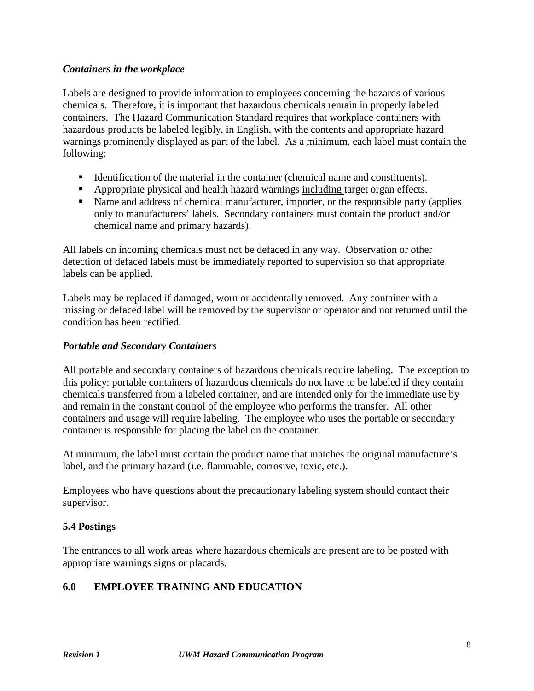### *Containers in the workplace*

Labels are designed to provide information to employees concerning the hazards of various chemicals. Therefore, it is important that hazardous chemicals remain in properly labeled containers. The Hazard Communication Standard requires that workplace containers with hazardous products be labeled legibly, in English, with the contents and appropriate hazard warnings prominently displayed as part of the label. As a minimum, each label must contain the following:

- Identification of the material in the container (chemical name and constituents).
- Appropriate physical and health hazard warnings including target organ effects.
- Name and address of chemical manufacturer, importer, or the responsible party (applies only to manufacturers' labels. Secondary containers must contain the product and/or chemical name and primary hazards).

All labels on incoming chemicals must not be defaced in any way. Observation or other detection of defaced labels must be immediately reported to supervision so that appropriate labels can be applied.

Labels may be replaced if damaged, worn or accidentally removed. Any container with a missing or defaced label will be removed by the supervisor or operator and not returned until the condition has been rectified.

#### *Portable and Secondary Containers*

All portable and secondary containers of hazardous chemicals require labeling. The exception to this policy: portable containers of hazardous chemicals do not have to be labeled if they contain chemicals transferred from a labeled container, and are intended only for the immediate use by and remain in the constant control of the employee who performs the transfer. All other containers and usage will require labeling. The employee who uses the portable or secondary container is responsible for placing the label on the container.

At minimum, the label must contain the product name that matches the original manufacture's label, and the primary hazard (i.e. flammable, corrosive, toxic, etc.).

Employees who have questions about the precautionary labeling system should contact their supervisor.

#### **5.4 Postings**

The entrances to all work areas where hazardous chemicals are present are to be posted with appropriate warnings signs or placards.

### **6.0 EMPLOYEE TRAINING AND EDUCATION**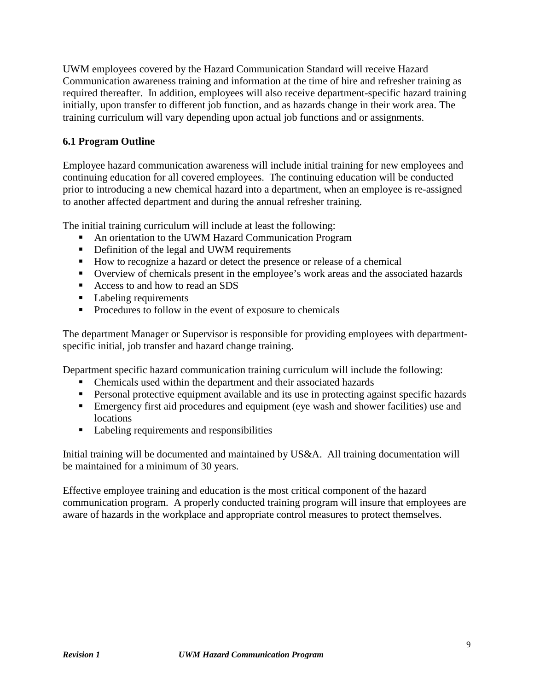UWM employees covered by the Hazard Communication Standard will receive Hazard Communication awareness training and information at the time of hire and refresher training as required thereafter. In addition, employees will also receive department-specific hazard training initially, upon transfer to different job function, and as hazards change in their work area. The training curriculum will vary depending upon actual job functions and or assignments.

## **6.1 Program Outline**

Employee hazard communication awareness will include initial training for new employees and continuing education for all covered employees. The continuing education will be conducted prior to introducing a new chemical hazard into a department, when an employee is re-assigned to another affected department and during the annual refresher training.

The initial training curriculum will include at least the following:

- An orientation to the UWM Hazard Communication Program
- Definition of the legal and UWM requirements
- How to recognize a hazard or detect the presence or release of a chemical
- Overview of chemicals present in the employee's work areas and the associated hazards
- Access to and how to read an SDS
- Labeling requirements
- **Procedures to follow in the event of exposure to chemicals**

The department Manager or Supervisor is responsible for providing employees with departmentspecific initial, job transfer and hazard change training.

Department specific hazard communication training curriculum will include the following:

- Chemicals used within the department and their associated hazards
- **Personal protective equipment available and its use in protecting against specific hazards**
- Emergency first aid procedures and equipment (eye wash and shower facilities) use and locations
- Labeling requirements and responsibilities

Initial training will be documented and maintained by US&A. All training documentation will be maintained for a minimum of 30 years.

Effective employee training and education is the most critical component of the hazard communication program. A properly conducted training program will insure that employees are aware of hazards in the workplace and appropriate control measures to protect themselves.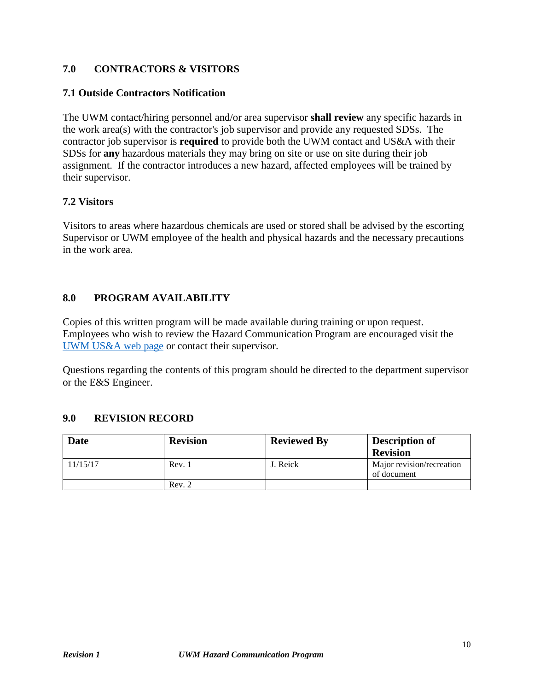### **7.0 CONTRACTORS & VISITORS**

#### **7.1 Outside Contractors Notification**

The UWM contact/hiring personnel and/or area supervisor **shall review** any specific hazards in the work area(s) with the contractor's job supervisor and provide any requested SDSs. The contractor job supervisor is **required** to provide both the UWM contact and US&A with their SDSs for **any** hazardous materials they may bring on site or use on site during their job assignment. If the contractor introduces a new hazard, affected employees will be trained by their supervisor.

### **7.2 Visitors**

Visitors to areas where hazardous chemicals are used or stored shall be advised by the escorting Supervisor or UWM employee of the health and physical hazards and the necessary precautions in the work area.

### **8.0 PROGRAM AVAILABILITY**

Copies of this written program will be made available during training or upon request. Employees who wish to review the Hazard Communication Program are encouraged visit the [UWM US&A web page](http://uwm.edu/safety-health/chemrtk/) or contact their supervisor.

Questions regarding the contents of this program should be directed to the department supervisor or the E&S Engineer.

#### **9.0 REVISION RECORD**

| <b>Date</b> | <b>Revision</b> | <b>Reviewed By</b> | <b>Description of</b>                    |
|-------------|-----------------|--------------------|------------------------------------------|
|             |                 |                    | <b>Revision</b>                          |
| 11/15/17    | Rev. 1          | J. Reick           | Major revision/recreation<br>of document |
|             | Rev. 2          |                    |                                          |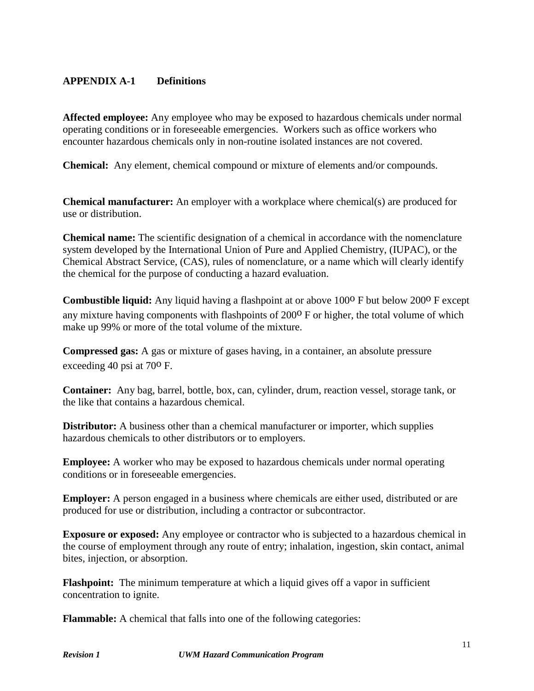## **APPENDIX A-1 Definitions**

**Affected employee:** Any employee who may be exposed to hazardous chemicals under normal operating conditions or in foreseeable emergencies. Workers such as office workers who encounter hazardous chemicals only in non-routine isolated instances are not covered.

**Chemical:** Any element, chemical compound or mixture of elements and/or compounds.

**Chemical manufacturer:** An employer with a workplace where chemical(s) are produced for use or distribution.

**Chemical name:** The scientific designation of a chemical in accordance with the nomenclature system developed by the International Union of Pure and Applied Chemistry, (IUPAC), or the Chemical Abstract Service, (CAS), rules of nomenclature, or a name which will clearly identify the chemical for the purpose of conducting a hazard evaluation.

**Combustible liquid:** Any liquid having a flashpoint at or above 100<sup>o</sup> F but below 200<sup>o</sup> F except any mixture having components with flashpoints of 200<sup>o</sup> F or higher, the total volume of which make up 99% or more of the total volume of the mixture.

**Compressed gas:** A gas or mixture of gases having, in a container, an absolute pressure exceeding 40 psi at 70o F.

**Container:** Any bag, barrel, bottle, box, can, cylinder, drum, reaction vessel, storage tank, or the like that contains a hazardous chemical.

**Distributor:** A business other than a chemical manufacturer or importer, which supplies hazardous chemicals to other distributors or to employers.

**Employee:** A worker who may be exposed to hazardous chemicals under normal operating conditions or in foreseeable emergencies.

**Employer:** A person engaged in a business where chemicals are either used, distributed or are produced for use or distribution, including a contractor or subcontractor.

**Exposure or exposed:** Any employee or contractor who is subjected to a hazardous chemical in the course of employment through any route of entry; inhalation, ingestion, skin contact, animal bites, injection, or absorption.

**Flashpoint:** The minimum temperature at which a liquid gives off a vapor in sufficient concentration to ignite.

**Flammable:** A chemical that falls into one of the following categories: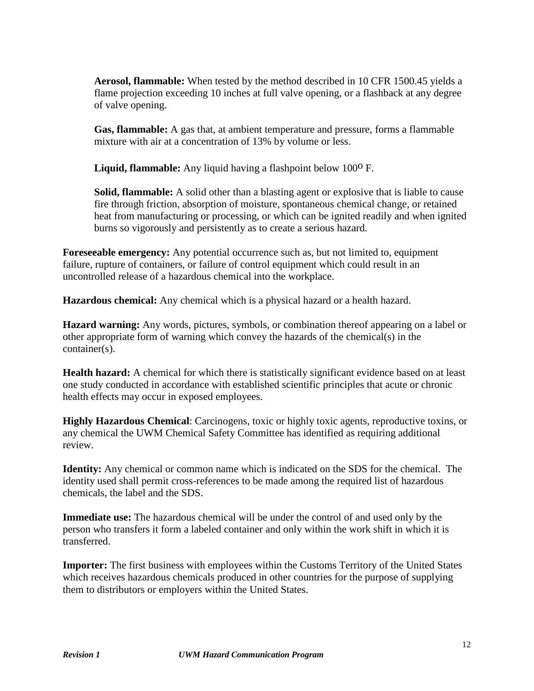**Aerosol, flammable:** When tested by the method described in 10 CFR 1500.45 yields a flame projection exceeding 10 inches at full valve opening, or a flashback at any degree of valve opening.

**Gas, flammable:** A gas that, at ambient temperature and pressure, forms a flammable mixture with air at a concentration of 13% by volume or less.

Liquid, flammable: Any liquid having a flashpoint below 100<sup>o</sup> F.

**Solid, flammable:** A solid other than a blasting agent or explosive that is liable to cause fire through friction, absorption of moisture, spontaneous chemical change, or retained heat from manufacturing or processing, or which can be ignited readily and when ignited burns so vigorously and persistently as to create a serious hazard.

**Foreseeable emergency:** Any potential occurrence such as, but not limited to, equipment failure, rupture of containers, or failure of control equipment which could result in an uncontrolled release of a hazardous chemical into the workplace.

**Hazardous chemical:** Any chemical which is a physical hazard or a health hazard.

**Hazard warning:** Any words, pictures, symbols, or combination thereof appearing on a label or other appropriate form of warning which convey the hazards of the chemical(s) in the container(s).

**Health hazard:** A chemical for which there is statistically significant evidence based on at least one study conducted in accordance with established scientific principles that acute or chronic health effects may occur in exposed employees.

**Highly Hazardous Chemical**: Carcinogens, toxic or highly toxic agents, reproductive toxins, or any chemical the UWM Chemical Safety Committee has identified as requiring additional review.

**Identity:** Any chemical or common name which is indicated on the SDS for the chemical. The identity used shall permit cross-references to be made among the required list of hazardous chemicals, the label and the SDS.

**Immediate use:** The hazardous chemical will be under the control of and used only by the person who transfers it form a labeled container and only within the work shift in which it is transferred.

**Importer:** The first business with employees within the Customs Territory of the United States which receives hazardous chemicals produced in other countries for the purpose of supplying them to distributors or employers within the United States.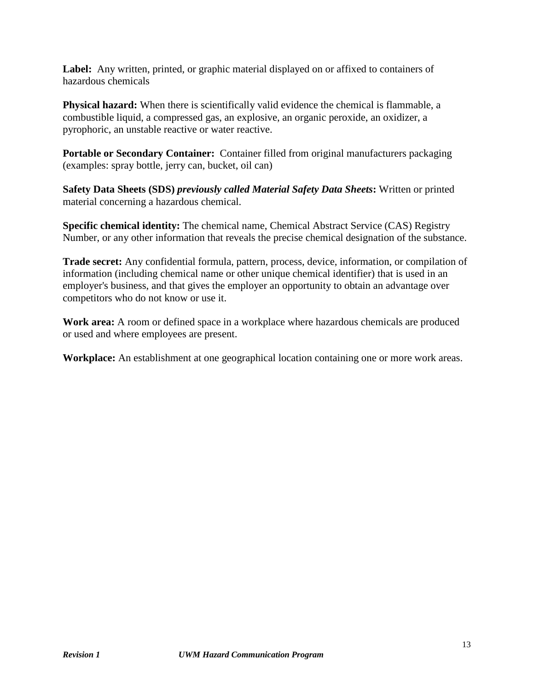Label: Any written, printed, or graphic material displayed on or affixed to containers of hazardous chemicals

**Physical hazard:** When there is scientifically valid evidence the chemical is flammable, a combustible liquid, a compressed gas, an explosive, an organic peroxide, an oxidizer, a pyrophoric, an unstable reactive or water reactive.

**Portable or Secondary Container:** Container filled from original manufacturers packaging (examples: spray bottle, jerry can, bucket, oil can)

**Safety Data Sheets (SDS)** *previously called Material Safety Data Sheets***:** Written or printed material concerning a hazardous chemical.

**Specific chemical identity:** The chemical name, Chemical Abstract Service (CAS) Registry Number, or any other information that reveals the precise chemical designation of the substance.

**Trade secret:** Any confidential formula, pattern, process, device, information, or compilation of information (including chemical name or other unique chemical identifier) that is used in an employer's business, and that gives the employer an opportunity to obtain an advantage over competitors who do not know or use it.

**Work area:** A room or defined space in a workplace where hazardous chemicals are produced or used and where employees are present.

**Workplace:** An establishment at one geographical location containing one or more work areas.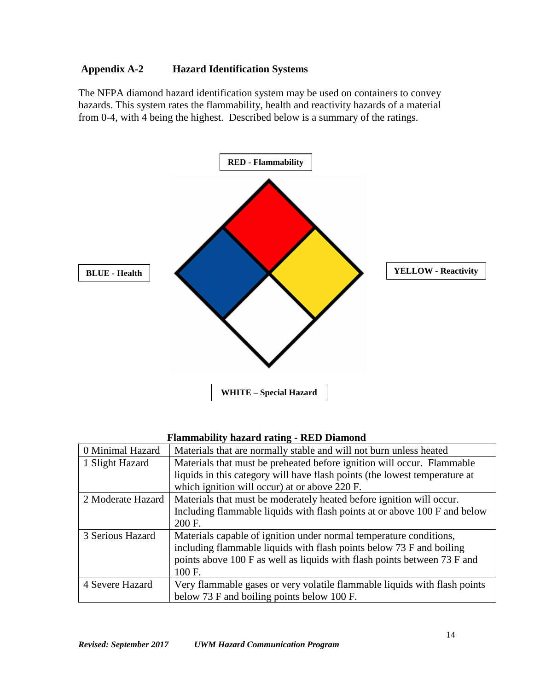## **Appendix A-2 Hazard Identification Systems**

The NFPA diamond hazard identification system may be used on containers to convey hazards. This system rates the flammability, health and reactivity hazards of a material from 0-4, with 4 being the highest. Described below is a summary of the ratings.



### **Flammability hazard rating - RED Diamond**

| 0 Minimal Hazard  | Materials that are normally stable and will not burn unless heated         |
|-------------------|----------------------------------------------------------------------------|
| 1 Slight Hazard   | Materials that must be preheated before ignition will occur. Flammable     |
|                   | liquids in this category will have flash points (the lowest temperature at |
|                   | which ignition will occur) at or above 220 F.                              |
| 2 Moderate Hazard | Materials that must be moderately heated before ignition will occur.       |
|                   | Including flammable liquids with flash points at or above 100 F and below  |
|                   | 200 F.                                                                     |
| 3 Serious Hazard  | Materials capable of ignition under normal temperature conditions,         |
|                   | including flammable liquids with flash points below 73 F and boiling       |
|                   | points above 100 F as well as liquids with flash points between 73 F and   |
|                   | 100 F.                                                                     |
| 4 Severe Hazard   | Very flammable gases or very volatile flammable liquids with flash points  |
|                   | below 73 F and boiling points below 100 F.                                 |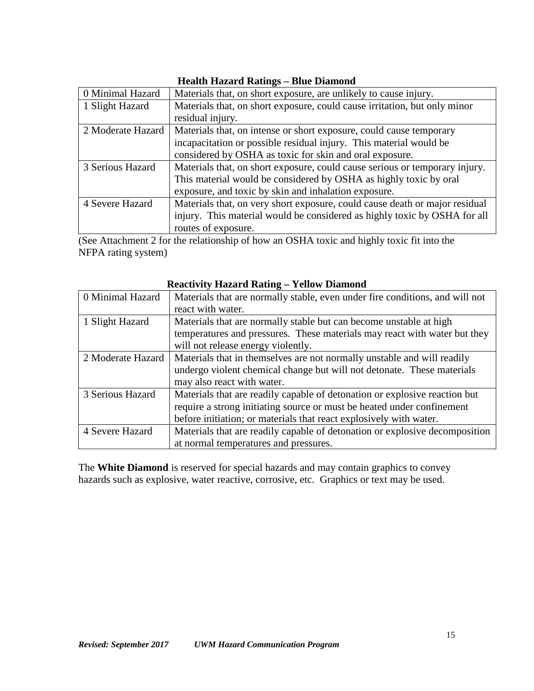| Ticanii Tiazaru Kanngs – Diuc Diamonu |                                                                             |  |  |  |
|---------------------------------------|-----------------------------------------------------------------------------|--|--|--|
| 0 Minimal Hazard                      | Materials that, on short exposure, are unlikely to cause injury.            |  |  |  |
| 1 Slight Hazard                       | Materials that, on short exposure, could cause irritation, but only minor   |  |  |  |
|                                       | residual injury.                                                            |  |  |  |
| 2 Moderate Hazard                     | Materials that, on intense or short exposure, could cause temporary         |  |  |  |
|                                       | incapacitation or possible residual injury. This material would be          |  |  |  |
|                                       | considered by OSHA as toxic for skin and oral exposure.                     |  |  |  |
| 3 Serious Hazard                      | Materials that, on short exposure, could cause serious or temporary injury. |  |  |  |
|                                       | This material would be considered by OSHA as highly toxic by oral           |  |  |  |
|                                       | exposure, and toxic by skin and inhalation exposure.                        |  |  |  |
| 4 Severe Hazard                       | Materials that, on very short exposure, could cause death or major residual |  |  |  |
|                                       | injury. This material would be considered as highly toxic by OSHA for all   |  |  |  |
|                                       | routes of exposure.                                                         |  |  |  |

### **Health Hazard Ratings – Blue Diamond**

(See Attachment 2 for the relationship of how an OSHA toxic and highly toxic fit into the NFPA rating system)

| Rudu vity tiazal u Rathig — Tulo w Diamonu |                                                                              |  |  |
|--------------------------------------------|------------------------------------------------------------------------------|--|--|
| 0 Minimal Hazard                           | Materials that are normally stable, even under fire conditions, and will not |  |  |
|                                            | react with water.                                                            |  |  |
| 1 Slight Hazard                            | Materials that are normally stable but can become unstable at high           |  |  |
|                                            | temperatures and pressures. These materials may react with water but they    |  |  |
|                                            | will not release energy violently.                                           |  |  |
| 2 Moderate Hazard                          | Materials that in themselves are not normally unstable and will readily      |  |  |
|                                            | undergo violent chemical change but will not detonate. These materials       |  |  |
|                                            | may also react with water.                                                   |  |  |
| 3 Serious Hazard                           | Materials that are readily capable of detonation or explosive reaction but   |  |  |
|                                            | require a strong initiating source or must be heated under confinement       |  |  |
|                                            | before initiation; or materials that react explosively with water.           |  |  |
| 4 Severe Hazard                            | Materials that are readily capable of detonation or explosive decomposition  |  |  |
|                                            | at normal temperatures and pressures.                                        |  |  |

# **Reactivity Hazard Rating – Yellow Diamond**

The **White Diamond** is reserved for special hazards and may contain graphics to convey hazards such as explosive, water reactive, corrosive, etc. Graphics or text may be used.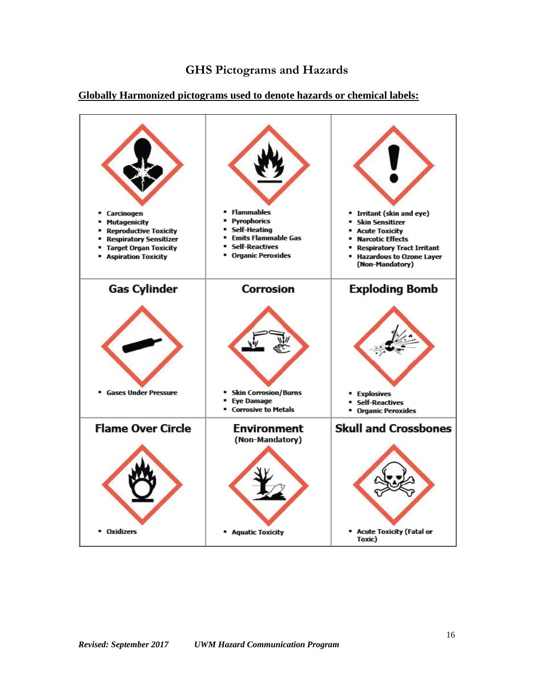

#### **Globally Harmonized pictograms used to denote hazards or chemical labels:**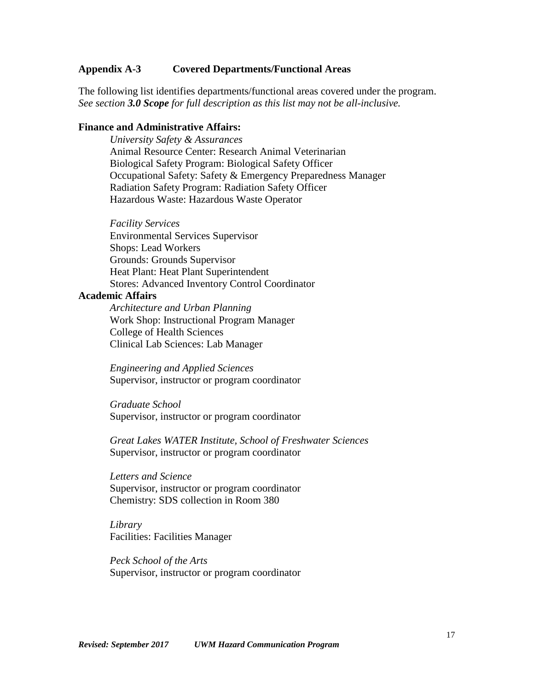#### **Appendix A-3 Covered Departments/Functional Areas**

The following list identifies departments/functional areas covered under the program. *See section 3.0 Scope for full description as this list may not be all-inclusive.*

#### **Finance and Administrative Affairs:**

*University Safety & Assurances* Animal Resource Center: Research Animal Veterinarian Biological Safety Program: Biological Safety Officer Occupational Safety: Safety & Emergency Preparedness Manager Radiation Safety Program: Radiation Safety Officer Hazardous Waste: Hazardous Waste Operator

*Facility Services* Environmental Services Supervisor Shops: Lead Workers Grounds: Grounds Supervisor Heat Plant: Heat Plant Superintendent Stores: Advanced Inventory Control Coordinator

#### **Academic Affairs**

*Architecture and Urban Planning* Work Shop: Instructional Program Manager College of Health Sciences Clinical Lab Sciences: Lab Manager

*Engineering and Applied Sciences* Supervisor, instructor or program coordinator

*Graduate School* Supervisor, instructor or program coordinator

*Great Lakes WATER Institute, School of Freshwater Sciences* Supervisor, instructor or program coordinator

*Letters and Science* Supervisor, instructor or program coordinator Chemistry: SDS collection in Room 380

*Library* Facilities: Facilities Manager

*Peck School of the Arts* Supervisor, instructor or program coordinator